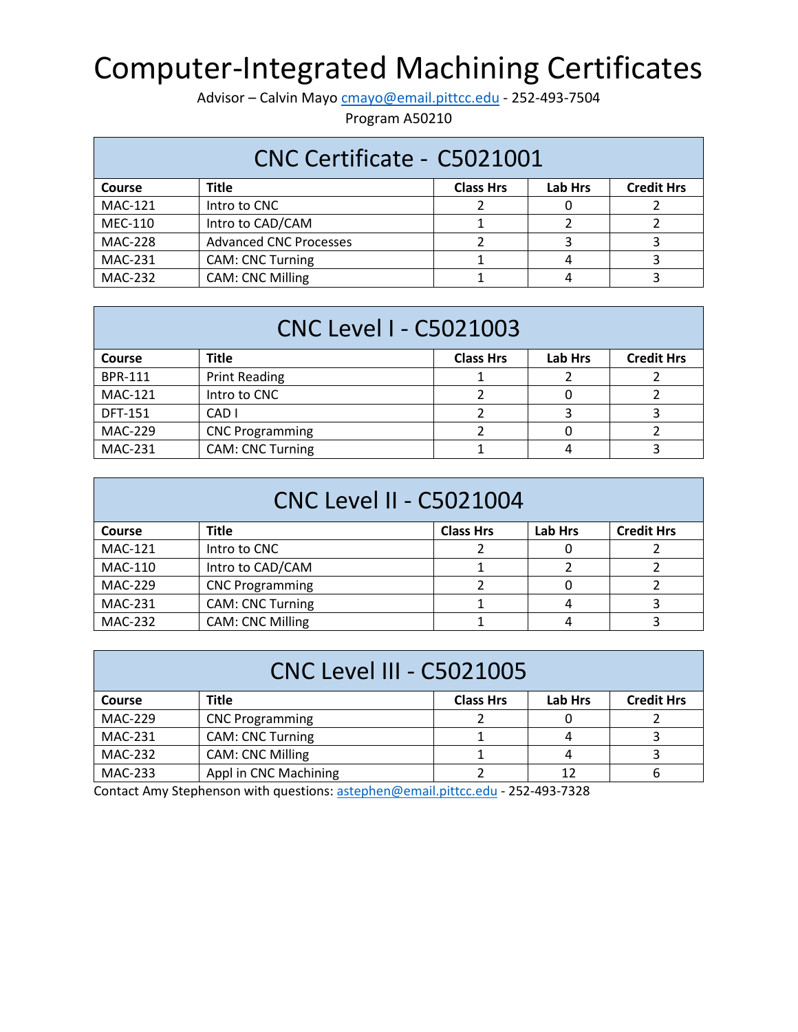## Computer-Integrated Machining Certificates

Advisor – Calvin Mayo [cmayo@email.pittcc.edu](mailto:cmayo@email.pittcc.edu) - 252-493-7504

Program A50210

| CNC Certificate - C5021001                                                        |                               |  |  |  |  |  |
|-----------------------------------------------------------------------------------|-------------------------------|--|--|--|--|--|
| <b>Lab Hrs</b><br><b>Credit Hrs</b><br><b>Title</b><br><b>Class Hrs</b><br>Course |                               |  |  |  |  |  |
| <b>MAC-121</b>                                                                    | Intro to CNC                  |  |  |  |  |  |
| MEC-110                                                                           | Intro to CAD/CAM              |  |  |  |  |  |
| <b>MAC-228</b>                                                                    | <b>Advanced CNC Processes</b> |  |  |  |  |  |
| MAC-231                                                                           | <b>CAM: CNC Turning</b>       |  |  |  |  |  |
| <b>MAC-232</b>                                                                    | <b>CAM: CNC Milling</b>       |  |  |  |  |  |

| <b>CNC Level I - C5021003</b> |                         |                  |                |                   |
|-------------------------------|-------------------------|------------------|----------------|-------------------|
| <b>Course</b>                 | <b>Title</b>            | <b>Class Hrs</b> | <b>Lab Hrs</b> | <b>Credit Hrs</b> |
| <b>BPR-111</b>                | <b>Print Reading</b>    |                  |                |                   |
| <b>MAC-121</b>                | Intro to CNC            |                  |                |                   |
| <b>DFT-151</b>                | CAD I                   |                  |                |                   |
| MAC-229                       | <b>CNC Programming</b>  |                  |                |                   |
| <b>MAC-231</b>                | <b>CAM: CNC Turning</b> |                  |                |                   |

| <b>CNC Level II - C5021004</b>                                                           |                         |  |   |  |  |  |
|------------------------------------------------------------------------------------------|-------------------------|--|---|--|--|--|
| <b>Lab Hrs</b><br><b>Credit Hrs</b><br><b>Title</b><br><b>Class Hrs</b><br><b>Course</b> |                         |  |   |  |  |  |
| <b>MAC-121</b>                                                                           | Intro to CNC            |  |   |  |  |  |
| MAC-110                                                                                  | Intro to CAD/CAM        |  |   |  |  |  |
| <b>MAC-229</b>                                                                           | <b>CNC Programming</b>  |  | O |  |  |  |
| MAC-231                                                                                  | <b>CAM: CNC Turning</b> |  | 4 |  |  |  |
| <b>MAC-232</b>                                                                           | <b>CAM: CNC Milling</b> |  |   |  |  |  |

| <b>CNC Level III - C5021005</b> |                                                                  |  |    |  |  |  |  |
|---------------------------------|------------------------------------------------------------------|--|----|--|--|--|--|
| <b>Course</b>                   | <b>Lab Hrs</b><br><b>Credit Hrs</b><br><b>Class Hrs</b><br>Title |  |    |  |  |  |  |
| MAC-229                         | <b>CNC Programming</b>                                           |  |    |  |  |  |  |
| MAC-231                         | <b>CAM: CNC Turning</b>                                          |  |    |  |  |  |  |
| <b>MAC-232</b>                  | <b>CAM: CNC Milling</b>                                          |  |    |  |  |  |  |
| MAC-233                         | Appl in CNC Machining                                            |  | 12 |  |  |  |  |

Contact Amy Stephenson with questions[: astephen@email.pittcc.edu](mailto:astephen@email.pittcc.edu) - 252-493-7328